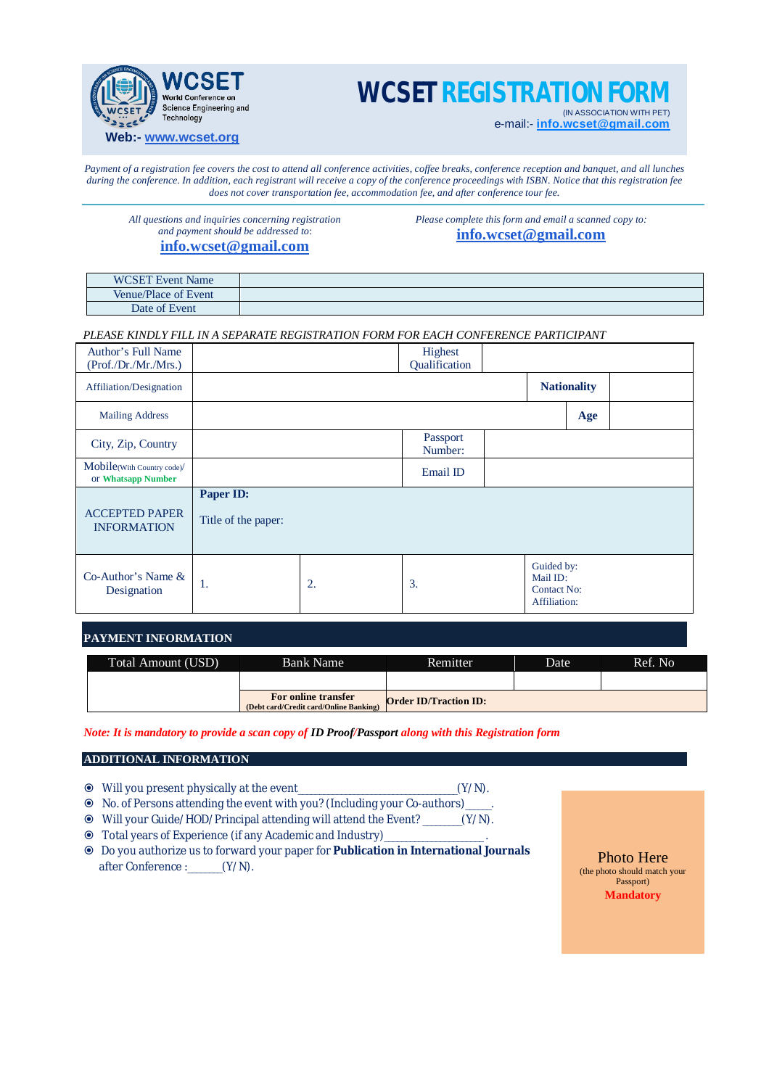

# **WCSET REGISTRATION F**

(IN ASSOCIATION WITH PET) e-mail:- **[info.wcset@gmail.com](mailto:info.wcset@gmail.com)**

*Payment of a registration fee covers the cost to attend all conference activities, coffee breaks, conference reception and banquet, and all lunches during the conference. In addition, each registrant will receive a copy of the conference proceedings with ISBN. Notice that this registration fee does not cover transportation fee, accommodation fee, and after conference tour fee.*

*All questions and inquiries concerning registration and payment should be addressed to*:

# **[info.wcset@gmail.com](mailto:info.wcset@gmail.com)**

*Please complete this form and email a scanned copy to:* **[info.wcset@gmail.com](mailto:info.wcset@gmail.com)**

| <b>WCSET Event Name</b>        |  |
|--------------------------------|--|
| Venue/Place of Event           |  |
| $\sim$ $\sim$<br>Date of Event |  |

*PLEASE KINDLY FILL IN A SEPARATE REGISTRATION FORM FOR EACH CONFERENCE PARTICIPANT*

| Author's Full Name<br>(Prof./Dr./Mr./Mrs.)       |                                  |    | Highest<br>Qualification |  |                                                              |     |  |
|--------------------------------------------------|----------------------------------|----|--------------------------|--|--------------------------------------------------------------|-----|--|
| Affiliation/Designation                          |                                  |    | <b>Nationality</b>       |  |                                                              |     |  |
| <b>Mailing Address</b>                           |                                  |    |                          |  |                                                              | Age |  |
| City, Zip, Country                               |                                  |    | Passport<br>Number:      |  |                                                              |     |  |
| Mobile(With Country code)/<br>or Whatsapp Number |                                  |    | Email ID                 |  |                                                              |     |  |
| <b>ACCEPTED PAPER</b><br><b>INFORMATION</b>      | Paper ID:<br>Title of the paper: |    |                          |  |                                                              |     |  |
| $Co-Author's Name &$<br>Designation              | 1.                               | 2. | 3.                       |  | Guided by:<br>Mail ID:<br><b>Contact No:</b><br>Affiliation: |     |  |

## **PAYMENT INFORMATION**

| Total Amount (USD) | <b>Bank Name</b>                                              | Remitter.                    | Date | Ref. No. |
|--------------------|---------------------------------------------------------------|------------------------------|------|----------|
|                    |                                                               |                              |      |          |
|                    | For online transfer<br>(Debt card/Credit card/Online Banking) | <b>Order ID/Traction ID:</b> |      |          |

*Note: It is mandatory to provide a scan copy of ID Proof/Passport along with this Registration form*

## **ADDITIONAL INFORMATION**

- Will you present physically at the event\_\_\_\_\_\_\_\_\_\_\_\_\_\_\_\_\_\_\_\_\_\_\_\_\_\_\_\_\_\_\_\_\_\_\_\_\_(Y/N).
- No. of Persons attending the event with you? (Including your Co-authors)\_\_\_\_\_\_.
- Will your Guide/HOD/Principal attending will attend the Event? \_\_\_\_\_\_\_\_\_(Y/N).
- Total years of Experience (if any Academic and Industry)\_\_\_\_\_\_\_\_\_\_\_\_\_\_\_\_\_\_\_\_\_\_\_.
- Do you authorize us to forward your paper for **Publication in International Journals** after Conference :\_\_\_\_\_\_\_\_(Y/N).

Photo Here (the photo should match your Passport) **Mandatory**